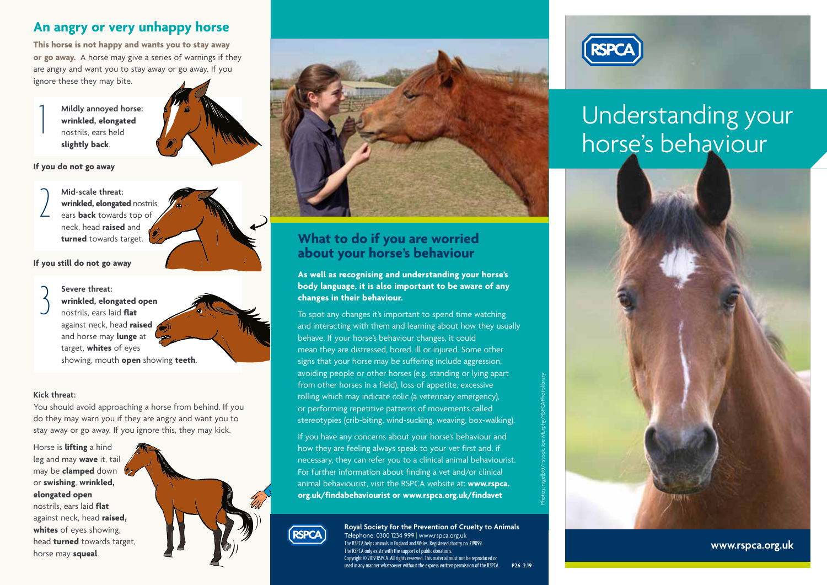## **An angry or very unhappy horse**

**This horse is not happy and wants you to stay away or go away.** A horse may give a series of warnings if they are angry and want you to stay away or go away. If you ignore these they may bite.

> **Mildly annoyed horse: wrinkled, elongated** nostrils, ears held **slightly back**.



#### **If you do not go away**

1

**Mid-scale threat: wrinkled, elongated** nostrils, ears **back** towards top of neck, head **raised** and **turned** towards target. 2



#### **If you still do not go away**

**Severe threat: wrinkled, elongated open**  nostrils, ears laid **flat** against neck, head **raised** and horse may **lunge** at target, **whites** of eyes showing, mouth **open** showing **teeth**. 3

#### **Kick threat:**

You should avoid approaching a horse from behind. If you do they may warn you if they are angry and want you to stay away or go away. If you ignore this, they may kick.

Horse is **lifting** a hind leg and may **wave** it, tail may be **clamped** down or **swishing**, **wrinkled, elongated open** nostrils, ears laid **flat**

against neck, head **raised, whites** of eyes showing, head **turned** towards target, horse may **squeal**.





## **What to do if you are worried about your horse's behaviour**

**As well as recognising and understanding your horse's body language, it is also important to be aware of any changes in their behaviour.** 

To spot any changes it's important to spend time watching and interacting with them and learning about how they usually behave. If your horse's behaviour changes, it could mean they are distressed, bored, ill or injured. Some other signs that your horse may be suffering include aggression, avoiding people or other horses (e.g. standing or lying apart from other horses in a field), loss of appetite, excessive rolling which may indicate colic (a veterinary emergency), or performing repetitive patterns of movements called stereotypies (crib-biting, wind-sucking, weaving, box-walking).

If you have any concerns about your horse's behaviour and how they are feeling always speak to your vet first and, if necessary, they can refer you to a clinical animal behaviourist. For further information about finding a vet and/or clinical animal behaviourist, visit the RSPCA website at: **www.rspca. org.uk/findabehaviourist or www.rspca.org.uk/findavet**



**Royal Society for the Prevention of Cruelty to Animals** Telephone: 0300 1234 999 | www.rspca.org.uk The RSPCA helps animals in England and Wales. Registered charity no. 219099. The RSPCA only exists with the support of public donations. Copyright © 2019 RSPCA. All rights reserved. This material must not be reproduced or used in any manner whatsoever without the express written permission of the RSPCA. **P26 2.19** Photos: nigelb10/i-stock, Joe Murphy/RSPCAPhotolibrary



# Understanding your horse's behaviour



**www.rspca.org.uk**